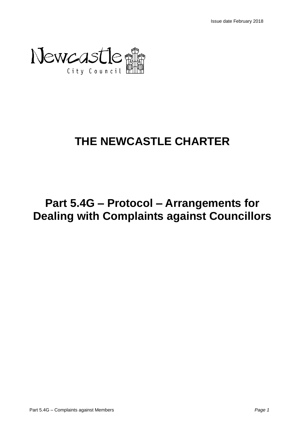

# **THE NEWCASTLE CHARTER**

# **Part 5.4G – Protocol – Arrangements for Dealing with Complaints against Councillors**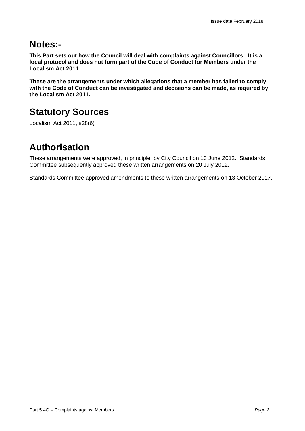### **Notes:-**

**This Part sets out how the Council will deal with complaints against Councillors. It is a local protocol and does not form part of the Code of Conduct for Members under the Localism Act 2011.**

**These are the arrangements under which allegations that a member has failed to comply with the Code of Conduct can be investigated and decisions can be made, as required by the Localism Act 2011.** 

## **Statutory Sources**

Localism Act 2011, s28(6)

## **Authorisation**

These arrangements were approved, in principle, by City Council on 13 June 2012. Standards Committee subsequently approved these written arrangements on 20 July 2012.

Standards Committee approved amendments to these written arrangements on 13 October 2017.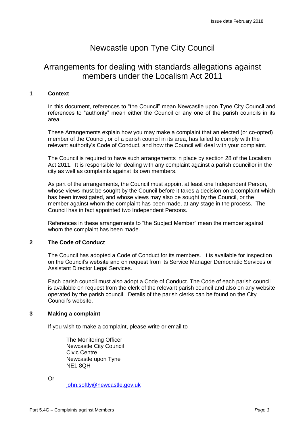### Newcastle upon Tyne City Council

### Arrangements for dealing with standards allegations against members under the Localism Act 2011

#### **1 Context**

In this document, references to "the Council" mean Newcastle upon Tyne City Council and references to "authority" mean either the Council or any one of the parish councils in its area.

These Arrangements explain how you may make a complaint that an elected (or co-opted) member of the Council, or of a parish council in its area, has failed to comply with the relevant authority's Code of Conduct, and how the Council will deal with your complaint.

The Council is required to have such arrangements in place by section 28 of the Localism Act 2011. It is responsible for dealing with any complaint against a parish councillor in the city as well as complaints against its own members.

As part of the arrangements, the Council must appoint at least one Independent Person, whose views must be sought by the Council before it takes a decision on a complaint which has been investigated, and whose views may also be sought by the Council, or the member against whom the complaint has been made, at any stage in the process. The Council has in fact appointed two Independent Persons.

References in these arrangements to "the Subject Member" mean the member against whom the complaint has been made.

#### **2 The Code of Conduct**

The Council has adopted a Code of Conduct for its members. It is available for inspection on the Council's website and on request from its Service Manager Democratic Services or Assistant Director Legal Services.

Each parish council must also adopt a Code of Conduct. The Code of each parish council is available on request from the clerk of the relevant parish council and also on any website operated by the parish council. Details of the parish clerks can be found on the City Council's website.

#### **3 Making a complaint**

If you wish to make a complaint, please write or email to  $-$ 

The Monitoring Officer Newcastle City Council Civic Centre Newcastle upon Tyne NE1 8QH

 $Or -$ 

[john.softly@newcastle.gov.uk](mailto:stuart.ovens@newcastle.gov.uk)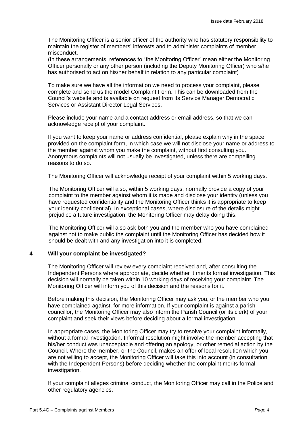The Monitoring Officer is a senior officer of the authority who has statutory responsibility to maintain the register of members' interests and to administer complaints of member misconduct.

(In these arrangements, references to "the Monitoring Officer" mean either the Monitoring Officer personally or any other person (including the Deputy Monitoring Officer) who s/he has authorised to act on his/her behalf in relation to any particular complaint)

To make sure we have all the information we need to process your complaint, please complete and send us the model Complaint Form. This can be downloaded from the Council's website and is available on request from its Service Manager Democratic Services or Assistant Director Legal Services.

Please include your name and a contact address or email address, so that we can acknowledge receipt of your complaint.

If you want to keep your name or address confidential, please explain why in the space provided on the complaint form, in which case we will not disclose your name or address to the member against whom you make the complaint, without first consulting you. Anonymous complaints will not usually be investigated, unless there are compelling reasons to do so.

The Monitoring Officer will acknowledge receipt of your complaint within 5 working days.

The Monitoring Officer will also, within 5 working days, normally provide a copy of your complaint to the member against whom it is made and disclose your identity (unless you have requested confidentiality and the Monitoring Officer thinks it is appropriate to keep your identity confidential). In exceptional cases, where disclosure of the details might prejudice a future investigation, the Monitoring Officer may delay doing this.

The Monitoring Officer will also ask both you and the member who you have complained against not to make public the complaint until the Monitoring Officer has decided how it should be dealt with and any investigation into it is completed.

#### **4 Will your complaint be investigated?**

The Monitoring Officer will review every complaint received and, after consulting the Independent Persons where appropriate, decide whether it merits formal investigation. This decision will normally be taken within 10 working days of receiving your complaint. The Monitoring Officer will inform you of this decision and the reasons for it.

Before making this decision, the Monitoring Officer may ask you, or the member who you have complained against, for more information. If your complaint is against a parish councillor, the Monitoring Officer may also inform the Parish Council (or its clerk) of your complaint and seek their views before deciding about a formal investigation.

In appropriate cases, the Monitoring Officer may try to resolve your complaint informally, without a formal investigation. Informal resolution might involve the member accepting that his/her conduct was unacceptable and offering an apology, or other remedial action by the Council. Where the member, or the Council, makes an offer of local resolution which you are not willing to accept, the Monitoring Officer will take this into account (in consultation with the Independent Persons) before deciding whether the complaint merits formal investigation.

If your complaint alleges criminal conduct, the Monitoring Officer may call in the Police and other regulatory agencies.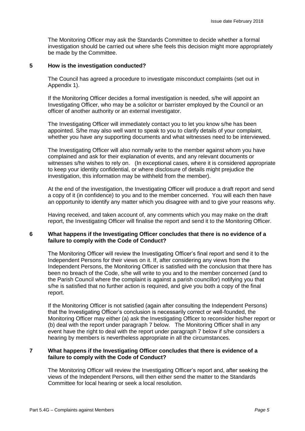The Monitoring Officer may ask the Standards Committee to decide whether a formal investigation should be carried out where s/he feels this decision might more appropriately be made by the Committee.

#### **5 How is the investigation conducted?**

The Council has agreed a procedure to investigate misconduct complaints (set out in Appendix 1).

If the Monitoring Officer decides a formal investigation is needed, s/he will appoint an Investigating Officer, who may be a solicitor or barrister employed by the Council or an officer of another authority or an external investigator.

The Investigating Officer will immediately contact you to let you know s/he has been appointed. S/he may also well want to speak to you to clarify details of your complaint, whether you have any supporting documents and what witnesses need to be interviewed.

The Investigating Officer will also normally write to the member against whom you have complained and ask for their explanation of events, and any relevant documents or witnesses s/he wishes to rely on. (In exceptional cases, where it is considered appropriate to keep your identity confidential, or where disclosure of details might prejudice the investigation, this information may be withheld from the member).

At the end of the investigation, the Investigating Officer will produce a draft report and send a copy of it (in confidence) to you and to the member concerned. You will each then have an opportunity to identify any matter which you disagree with and to give your reasons why.

Having received, and taken account of, any comments which you may make on the draft report, the Investigating Officer will finalise the report and send it to the Monitoring Officer.

#### **6 What happens if the Investigating Officer concludes that there is no evidence of a failure to comply with the Code of Conduct?**

The Monitoring Officer will review the Investigating Officer's final report and send it to the Independent Persons for their views on it. If, after considering any views from the Independent Persons, the Monitoring Officer is satisfied with the conclusion that there has been no breach of the Code, s/he will write to you and to the member concerned (and to the Parish Council where the complaint is against a parish councillor) notifying you that s/he is satisfied that no further action is required, and give you both a copy of the final report.

If the Monitoring Officer is not satisfied (again after consulting the Independent Persons) that the Investigating Officer's conclusion is necessarily correct or well-founded, the Monitoring Officer may either (a) ask the Investigating Officer to reconsider his/her report or (b) deal with the report under paragraph 7 below. The Monitoring Officer shall in any event have the right to deal with the report under paragraph 7 below if s/he considers a hearing by members is nevertheless appropriate in all the circumstances.

#### **7 What happens if the Investigating Officer concludes that there is evidence of a failure to comply with the Code of Conduct?**

The Monitoring Officer will review the Investigating Officer's report and, after seeking the views of the Independent Persons, will then either send the matter to the Standards Committee for local hearing or seek a local resolution.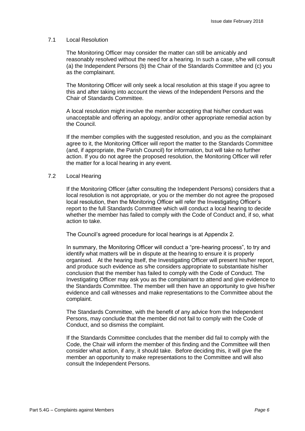#### 7.1 Local Resolution

The Monitoring Officer may consider the matter can still be amicably and reasonably resolved without the need for a hearing. In such a case, s/he will consult (a) the Independent Persons (b) the Chair of the Standards Committee and (c) you as the complainant.

The Monitoring Officer will only seek a local resolution at this stage if you agree to this and after taking into account the views of the Independent Persons and the Chair of Standards Committee.

A local resolution might involve the member accepting that his/her conduct was unacceptable and offering an apology, and/or other appropriate remedial action by the Council.

If the member complies with the suggested resolution, and you as the complainant agree to it, the Monitoring Officer will report the matter to the Standards Committee (and, if appropriate, the Parish Council) for information, but will take no further action. If you do not agree the proposed resolution, the Monitoring Officer will refer the matter for a local hearing in any event.

#### 7.2 Local Hearing

If the Monitoring Officer (after consulting the Independent Persons) considers that a local resolution is not appropriate, or you or the member do not agree the proposed local resolution, then the Monitoring Officer will refer the Investigating Officer's report to the full Standards Committee which will conduct a local hearing to decide whether the member has failed to comply with the Code of Conduct and, if so, what action to take.

The Council's agreed procedure for local hearings is at Appendix 2.

In summary, the Monitoring Officer will conduct a "pre-hearing process", to try and identify what matters will be in dispute at the hearing to ensure it is properly organised. At the hearing itself, the Investigating Officer will present his/her report, and produce such evidence as s/he considers appropriate to substantiate his/her conclusion that the member has failed to comply with the Code of Conduct. The Investigating Officer may ask you as the complainant to attend and give evidence to the Standards Committee. The member will then have an opportunity to give his/her evidence and call witnesses and make representations to the Committee about the complaint.

The Standards Committee, with the benefit of any advice from the Independent Persons, may conclude that the member did not fail to comply with the Code of Conduct, and so dismiss the complaint.

If the Standards Committee concludes that the member did fail to comply with the Code, the Chair will inform the member of this finding and the Committee will then consider what action, if any, it should take. Before deciding this, it will give the member an opportunity to make representations to the Committee and will also consult the Independent Persons.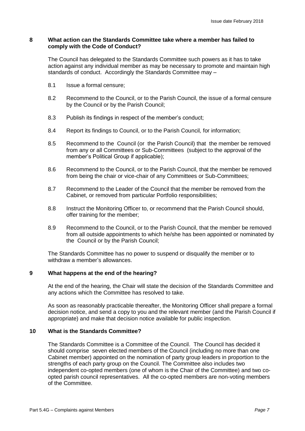#### **8 What action can the Standards Committee take where a member has failed to comply with the Code of Conduct?**

The Council has delegated to the Standards Committee such powers as it has to take action against any individual member as may be necessary to promote and maintain high standards of conduct. Accordingly the Standards Committee may –

- 8.1 Issue a formal censure;
- 8.2 Recommend to the Council, or to the Parish Council, the issue of a formal censure by the Council or by the Parish Council;
- 8.3 Publish its findings in respect of the member's conduct;
- 8.4 Report its findings to Council, or to the Parish Council*,* for information;
- 8.5 Recommend to the Council (or the Parish Council) that the member be removed from any or all Committees or Sub-Committees (subject to the approval of the member's Political Group if applicable);
- 8.6 Recommend to the Council, or to the Parish Council, that the member be removed from being the chair or vice-chair of any Committees or Sub-Committees;
- 8.7 Recommend to the Leader of the Council that the member be removed from the Cabinet, or removed from particular Portfolio responsibilities;
- 8.8 Instruct the Monitoring Officer to, or recommend that the Parish Council should, offer training for the member;
- 8.9 Recommend to the Council, or to the Parish Council, that the member be removed from all outside appointments to which he/she has been appointed or nominated by the Council or by the Parish Council;

The Standards Committee has no power to suspend or disqualify the member or to withdraw a member's allowances.

#### **9 What happens at the end of the hearing?**

At the end of the hearing, the Chair will state the decision of the Standards Committee and any actions which the Committee has resolved to take.

As soon as reasonably practicable thereafter, the Monitoring Officer shall prepare a formal decision notice, and send a copy to you and the relevant member (and the Parish Council if appropriate) and make that decision notice available for public inspection.

#### **10 What is the Standards Committee?**

The Standards Committee is a Committee of the Council. The Council has decided it should comprise seven elected members of the Council (including no more than one Cabinet member) appointed on the nomination of party group leaders in proportion to the strengths of each party group on the Council. The Committee also includes two independent co-opted members (one of whom is the Chair of the Committee) and two coopted parish council representatives. All the co-opted members are non-voting members of the Committee.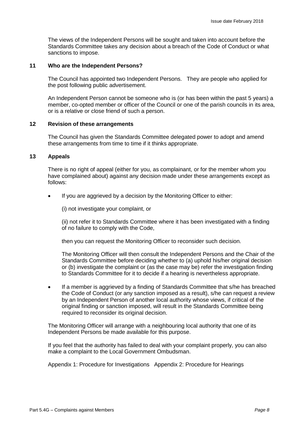The views of the Independent Persons will be sought and taken into account before the Standards Committee takes any decision about a breach of the Code of Conduct or what sanctions to impose.

#### **11 Who are the Independent Persons?**

The Council has appointed two Independent Persons. They are people who applied for the post following public advertisement.

An Independent Person cannot be someone who is (or has been within the past 5 years) a member, co-opted member or officer of the Council or one of the parish councils in its area, or is a relative or close friend of such a person.

#### **12 Revision of these arrangements**

The Council has given the Standards Committee delegated power to adopt and amend these arrangements from time to time if it thinks appropriate.

#### **13 Appeals**

There is no right of appeal (either for you, as complainant, or for the member whom you have complained about) against any decision made under these arrangements except as follows:

If you are aggrieved by a decision by the Monitoring Officer to either:

(i) not investigate your complaint, or

(ii) not refer it to Standards Committee where it has been investigated with a finding of no failure to comply with the Code,

then you can request the Monitoring Officer to reconsider such decision.

The Monitoring Officer will then consult the Independent Persons and the Chair of the Standards Committee before deciding whether to (a) uphold his/her original decision or (b) investigate the complaint or (as the case may be) refer the investigation finding to Standards Committee for it to decide if a hearing is nevertheless appropriate.

 If a member is aggrieved by a finding of Standards Committee that s/he has breached the Code of Conduct (or any sanction imposed as a result), s/he can request a review by an Independent Person of another local authority whose views, if critical of the original finding or sanction imposed, will result in the Standards Committee being required to reconsider its original decision.

The Monitoring Officer will arrange with a neighbouring local authority that one of its Independent Persons be made available for this purpose.

If you feel that the authority has failed to deal with your complaint properly, you can also make a complaint to the Local Government Ombudsman.

Appendix 1: Procedure for Investigations Appendix 2: Procedure for Hearings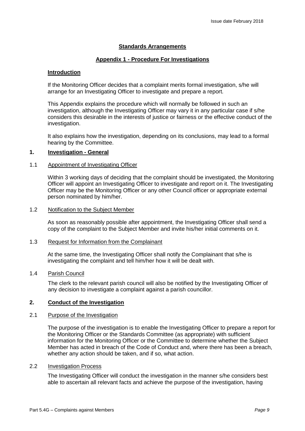#### **Standards Arrangements**

#### **Appendix 1 - Procedure For Investigations**

#### **Introduction**

If the Monitoring Officer decides that a complaint merits formal investigation, s/he will arrange for an Investigating Officer to investigate and prepare a report*.* 

This Appendix explains the procedure which will normally be followed in such an investigation, although the Investigating Officer may vary it in any particular case if s/he considers this desirable in the interests of justice or fairness or the effective conduct of the investigation.

It also explains how the investigation, depending on its conclusions, may lead to a formal hearing by the Committee.

#### **1. Investigation - General**

#### 1.1 Appointment of Investigating Officer

Within 3 working days of deciding that the complaint should be investigated, the Monitoring Officer will appoint an Investigating Officer to investigate and report on it. The Investigating Officer may be the Monitoring Officer or any other Council officer or appropriate external person nominated by him/her.

#### 1.2 Notification to the Subject Member

As soon as reasonably possible after appointment, the Investigating Officer shall send a copy of the complaint to the Subject Member and invite his/her initial comments on it.

#### 1.3 Request for Information from the Complainant

At the same time, the Investigating Officer shall notify the Complainant that s/he is investigating the complaint and tell him/her how it will be dealt with.

#### 1.4 Parish Council

The clerk to the relevant parish council will also be notified by the Investigating Officer of any decision to investigate a complaint against a parish councillor.

#### **2. Conduct of the Investigation**

#### 2.1 Purpose of the Investigation

The purpose of the investigation is to enable the Investigating Officer to prepare a report for the Monitoring Officer or the Standards Committee (as appropriate) with sufficient information for the Monitoring Officer or the Committee to determine whether the Subject Member has acted in breach of the Code of Conduct and, where there has been a breach, whether any action should be taken, and if so, what action.

#### 2.2 Investigation Process

The Investigating Officer will conduct the investigation in the manner s/he considers best able to ascertain all relevant facts and achieve the purpose of the investigation, having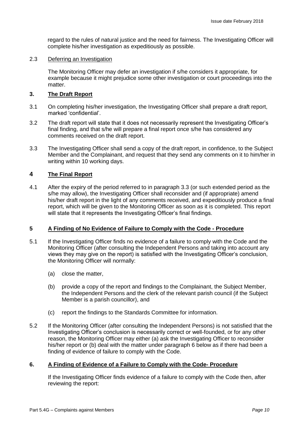regard to the rules of natural justice and the need for fairness. The Investigating Officer will complete his/her investigation as expeditiously as possible.

#### 2.3 Deferring an Investigation

The Monitoring Officer may defer an investigation if s/he considers it appropriate, for example because it might prejudice some other investigation or court proceedings into the matter.

#### **3. The Draft Report**

- 3.1 On completing his/her investigation, the Investigating Officer shall prepare a draft report, marked 'confidential'.
- 3.2 The draft report will state that it does not necessarily represent the Investigating Officer's final finding, and that s/he will prepare a final report once s/he has considered any comments received on the draft report.
- 3.3 The Investigating Officer shall send a copy of the draft report, in confidence, to the Subject Member and the Complainant, and request that they send any comments on it to him/her in writing within 10 working days.

#### **4 The Final Report**

4.1 After the expiry of the period referred to in paragraph 3.3 (or such extended period as the s/he may allow), the Investigating Officer shall reconsider and (if appropriate) amend his/her draft report in the light of any comments received, and expeditiously produce a final report, which will be given to the Monitoring Officer as soon as it is completed. This report will state that it represents the Investigating Officer's final findings.

#### **5 A Finding of No Evidence of Failure to Comply with the Code - Procedure**

- 5.1 If the Investigating Officer finds no evidence of a failure to comply with the Code and the Monitoring Officer (after consulting the Independent Persons and taking into account any views they may give on the report) is satisfied with the Investigating Officer's conclusion, the Monitoring Officer will normally:
	- (a) close the matter,
	- (b) provide a copy of the report and findings to the Complainant, the Subject Member, the Independent Persons and the clerk of the relevant parish council (if the Subject Member is a parish councillor), and
	- (c) report the findings to the Standards Committee for information.
- 5.2 If the Monitoring Officer (after consulting the Independent Persons) is not satisfied that the Investigating Officer's conclusion is necessarily correct or well-founded, or for any other reason, the Monitoring Officer may either (a) ask the Investigating Officer to reconsider his/her report or (b) deal with the matter under paragraph 6 below as if there had been a finding of evidence of failure to comply with the Code.

#### **6. A Finding of Evidence of a Failure to Comply with the Code- Procedure**

If the Investigating Officer finds evidence of a failure to comply with the Code then, after reviewing the report: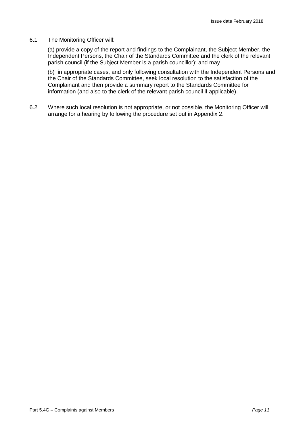#### 6.1 The Monitoring Officer will:

(a) provide a copy of the report and findings to the Complainant, the Subject Member, the Independent Persons, the Chair of the Standards Committee and the clerk of the relevant parish council (if the Subject Member is a parish councillor); and may

(b) in appropriate cases, and only following consultation with the Independent Persons and the Chair of the Standards Committee, seek local resolution to the satisfaction of the Complainant and then provide a summary report to the Standards Committee for information (and also to the clerk of the relevant parish council if applicable).

6.2 Where such local resolution is not appropriate, or not possible, the Monitoring Officer will arrange for a hearing by following the procedure set out in Appendix 2.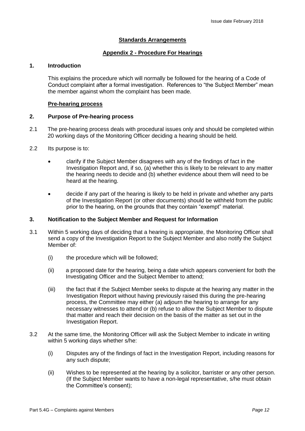#### **Standards Arrangements**

#### **Appendix 2 - Procedure For Hearings**

#### **1. Introduction**

This explains the procedure which will normally be followed for the hearing of a Code of Conduct complaint after a formal investigation. References to "the Subject Member" mean the member against whom the complaint has been made.

#### **Pre-hearing process**

#### **2. Purpose of Pre-hearing process**

- 2.1 The pre-hearing process deals with procedural issues only and should be completed within 20 working days of the Monitoring Officer deciding a hearing should be held.
- 2.2 Its purpose is to:
	- clarify if the Subject Member disagrees with any of the findings of fact in the Investigation Report and, if so, (a) whether this is likely to be relevant to any matter the hearing needs to decide and (b) whether evidence about them will need to be heard at the hearing.
	- decide if any part of the hearing is likely to be held in private and whether any parts of the Investigation Report (or other documents) should be withheld from the public prior to the hearing, on the grounds that they contain "exempt" material.

#### **3. Notification to the Subject Member and Request for Information**

- 3.1 Within 5 working days of deciding that a hearing is appropriate, the Monitoring Officer shall send a copy of the Investigation Report to the Subject Member and also notify the Subject Member of:
	- (i) the procedure which will be followed;
	- (ii) a proposed date for the hearing, being a date which appears convenient for both the Investigating Officer and the Subject Member to attend;
	- (iii) the fact that if the Subject Member seeks to dispute at the hearing any matter in the Investigation Report without having previously raised this during the pre-hearing process, the Committee may either (a) adjourn the hearing to arrange for any necessary witnesses to attend or (b) refuse to allow the Subject Member to dispute that matter and reach their decision on the basis of the matter as set out in the Investigation Report.
- 3.2 At the same time, the Monitoring Officer will ask the Subject Member to indicate in writing within 5 working days whether s/he:
	- (i) Disputes any of the findings of fact in the Investigation Report, including reasons for any such dispute;
	- (ii) Wishes to be represented at the hearing by a solicitor, barrister or any other person. (If the Subject Member wants to have a non-legal representative, s/he must obtain the Committee's consent);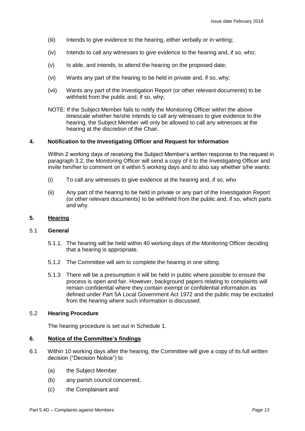- (iii) Intends to give evidence to the hearing, either verbally or in writing;
- (iv) Intends to call any witnesses to give evidence to the hearing and, if so, who;
- (v) Is able, and intends, to attend the hearing on the proposed date;
- (vi) Wants any part of the hearing to be held in private and, if so, why;
- (vii) Wants any part of the Investigation Report (or other relevant documents) to be withheld from the public and, if so, why;
- NOTE: If the Subject Member fails to notify the Monitoring Officer within the above timescale whether he/she intends to call any witnesses to give evidence to the hearing, the Subject Member will only be allowed to call any witnesses at the hearing at the discretion of the Chair.

#### **4. Notification to the Investigating Officer and Request for Information**

Within 2 working days of receiving the Subject Member's written response to the request in paragraph 3.2, the Monitoring Officer will send a copy of it to the Investigating Officer and invite him/her to comment on it within 5 working days and to also say whether s/he wants:

- (i) To call any witnesses to give evidence at the hearing and, if so, who
- (ii) Any part of the hearing to be held in private or any part of the Investigation Report (or other relevant documents) to be withheld from the public and, if so, which parts and why.

#### **5. Hearing**

#### 5.1 **General**

- 5.1.1. The hearing will be held within 40 working days of the Monitoring Officer deciding that a hearing is appropriate.
- 5.1.2 The Committee will aim to complete the hearing in one sitting.
- 5.1.3 There will be a presumption it will be held in public where possible to ensure the process is open and fair. However, background papers relating to complaints will remain confidential where they contain exempt or confidential information as defined under Part 5A Local Government Act 1972 and the public may be excluded from the hearing where such information is discussed.

#### 5.2 **Hearing Procedure**

The hearing procedure is set out in Schedule 1.

#### **6. Notice of the Committee's findings**

- 6.1 Within 10 working days after the hearing, the Committee will give a copy of its full written decision ("Decision Notice") to
	- (a) the Subject Member
	- (b) any parish council concerned,
	- (c) the Complainant and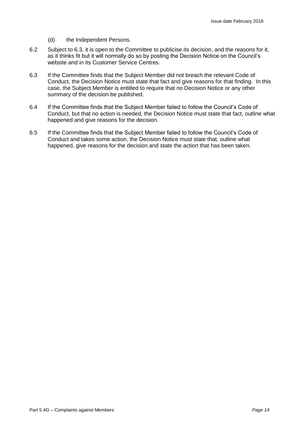- (d) the Independent Persons.
- 6.2 Subject to 6.3, it is open to the Committee to publicise its decision, and the reasons for it, as it thinks fit but it will normally do so by posting the Decision Notice on the Council's website and in its Customer Service Centres.
- 6.3 If the Committee finds that the Subject Member did not breach the relevant Code of Conduct, the Decision Notice must state that fact and give reasons for that finding. In this case, the Subject Member is entitled to require that no Decision Notice or any other summary of the decision be published.
- 6.4 If the Committee finds that the Subject Member failed to follow the Council's Code of Conduct, but that no action is needed, the Decision Notice must state that fact, outline what happened and give reasons for the decision.
- 6.5 If the Committee finds that the Subject Member failed to follow the Council's Code of Conduct and takes some action, the Decision Notice must state that, outline what happened, give reasons for the decision and state the action that has been taken.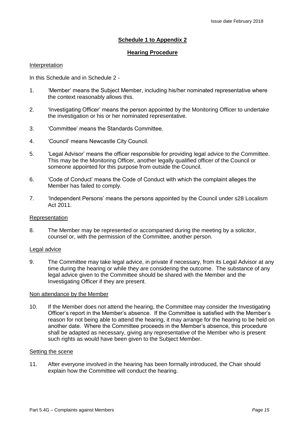#### **Schedule 1 to Appendix 2**

#### **Hearing Procedure**

#### Interpretation

In this Schedule and in Schedule 2 -

- 1. 'Member' means the Subject Member, including his/her nominated representative where the context reasonably allows this.
- 2. 'Investigating Officer' means the person appointed by the Monitoring Officer to undertake the investigation or his or her nominated representative.
- 3. 'Committee' means the Standards Committee.
- 4. 'Council' means Newcastle City Council.
- 5. 'Legal Advisor' means the officer responsible for providing legal advice to the Committee. This may be the Monitoring Officer, another legally qualified officer of the Council or someone appointed for this purpose from outside the Council.
- 6. 'Code of Conduct' means the Code of Conduct with which the complaint alleges the Member has failed to comply.
- 7. 'Independent Persons' means the persons appointed by the Council under s28 Localism Act 2011.

#### Representation

8. The Member may be represented or accompanied during the meeting by a solicitor, counsel or, with the permission of the Committee, another person.

#### Legal advice

9. The Committee may take legal advice, in private if necessary, from its Legal Advisor at any time during the hearing or while they are considering the outcome. The substance of any legal advice given to the Committee should be shared with the Member and the Investigating Officer if they are present.

#### Non attendance by the Member

10. If the Member does not attend the hearing, the Committee may consider the Investigating Officer's report in the Member's absence. If the Committee is satisfied with the Member's reason for not being able to attend the hearing, it may arrange for the hearing to be held on another date. Where the Committee proceeds in the Member's absence, this procedure shall be adapted as necessary, giving any representative of the Member who is present such rights as would have been given to the Subject Member.

#### Setting the scene

11. After everyone involved in the hearing has been formally introduced, the Chair should explain how the Committee will conduct the hearing.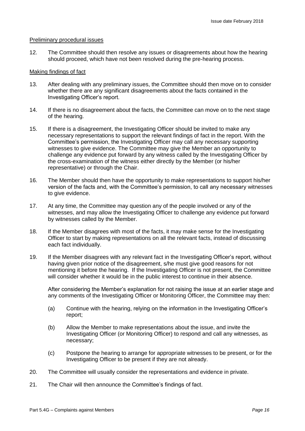#### Preliminary procedural issues

12. The Committee should then resolve any issues or disagreements about how the hearing should proceed, which have not been resolved during the pre-hearing process.

#### Making findings of fact

- 13. After dealing with any preliminary issues, the Committee should then move on to consider whether there are any significant disagreements about the facts contained in the Investigating Officer's report.
- 14. If there is no disagreement about the facts, the Committee can move on to the next stage of the hearing.
- 15. If there is a disagreement, the Investigating Officer should be invited to make any necessary representations to support the relevant findings of fact in the report. With the Committee's permission, the Investigating Officer may call any necessary supporting witnesses to give evidence. The Committee may give the Member an opportunity to challenge any evidence put forward by any witness called by the Investigating Officer by the cross-examination of the witness either directly by the Member (or his/her representative) or through the Chair.
- 16. The Member should then have the opportunity to make representations to support his/her version of the facts and, with the Committee's permission, to call any necessary witnesses to give evidence.
- 17. At any time, the Committee may question any of the people involved or any of the witnesses, and may allow the Investigating Officer to challenge any evidence put forward by witnesses called by the Member.
- 18. If the Member disagrees with most of the facts, it may make sense for the Investigating Officer to start by making representations on all the relevant facts, instead of discussing each fact individually.
- 19. If the Member disagrees with any relevant fact in the Investigating Officer's report, without having given prior notice of the disagreement, s/he must give good reasons for not mentioning it before the hearing. If the Investigating Officer is not present, the Committee will consider whether it would be in the public interest to continue in their absence.

After considering the Member's explanation for not raising the issue at an earlier stage and any comments of the Investigating Officer or Monitoring Officer, the Committee may then:

- (a) Continue with the hearing, relying on the information in the Investigating Officer's report;
- (b) Allow the Member to make representations about the issue, and invite the Investigating Officer (or Monitoring Officer) to respond and call any witnesses, as necessary;
- (c) Postpone the hearing to arrange for appropriate witnesses to be present, or for the Investigating Officer to be present if they are not already.
- 20. The Committee will usually consider the representations and evidence in private.
- 21. The Chair will then announce the Committee's findings of fact.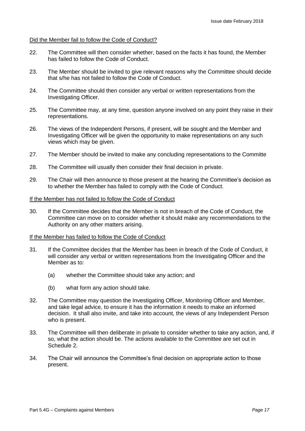#### Did the Member fail to follow the Code of Conduct?

- 22. The Committee will then consider whether, based on the facts it has found, the Member has failed to follow the Code of Conduct.
- 23. The Member should be invited to give relevant reasons why the Committee should decide that s/he has not failed to follow the Code of Conduct.
- 24. The Committee should then consider any verbal or written representations from the Investigating Officer.
- 25. The Committee may, at any time, question anyone involved on any point they raise in their representations.
- 26. The views of the Independent Persons, if present, will be sought and the Member and Investigating Officer will be given the opportunity to make representations on any such views which may be given.
- 27. The Member should be invited to make any concluding representations to the Committe
- 28. The Committee will usually then consider their final decision in private.
- 29. The Chair will then announce to those present at the hearing the Committee's decision as to whether the Member has failed to comply with the Code of Conduct.

#### If the Member has not failed to follow the Code of Conduct

30. If the Committee decides that the Member is not in breach of the Code of Conduct, the Committee can move on to consider whether it should make any recommendations to the Authority on any other matters arising.

#### If the Member has failed to follow the Code of Conduct

- 31. If the Committee decides that the Member has been in breach of the Code of Conduct, it will consider any verbal or written representations from the Investigating Officer and the Member as to:
	- (a) whether the Committee should take any action; and
	- (b) what form any action should take.
- 32. The Committee may question the Investigating Officer, Monitoring Officer and Member, and take legal advice, to ensure it has the information it needs to make an informed decision. It shall also invite, and take into account, the views of any Independent Person who is present.
- 33. The Committee will then deliberate in private to consider whether to take any action, and, if so, what the action should be. The actions available to the Committee are set out in Schedule 2.
- 34. The Chair will announce the Committee's final decision on appropriate action to those present.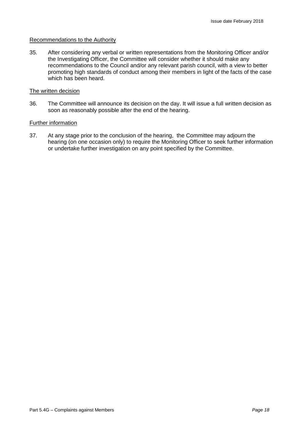#### Recommendations to the Authority

35. After considering any verbal or written representations from the Monitoring Officer and/or the Investigating Officer, the Committee will consider whether it should make any recommendations to the Council and/or any relevant parish council, with a view to better promoting high standards of conduct among their members in light of the facts of the case which has been heard.

#### The written decision

36. The Committee will announce its decision on the day. It will issue a full written decision as soon as reasonably possible after the end of the hearing.

#### Further information

37. At any stage prior to the conclusion of the hearing, the Committee may adjourn the hearing (on one occasion only) to require the Monitoring Officer to seek further information or undertake further investigation on any point specified by the Committee.